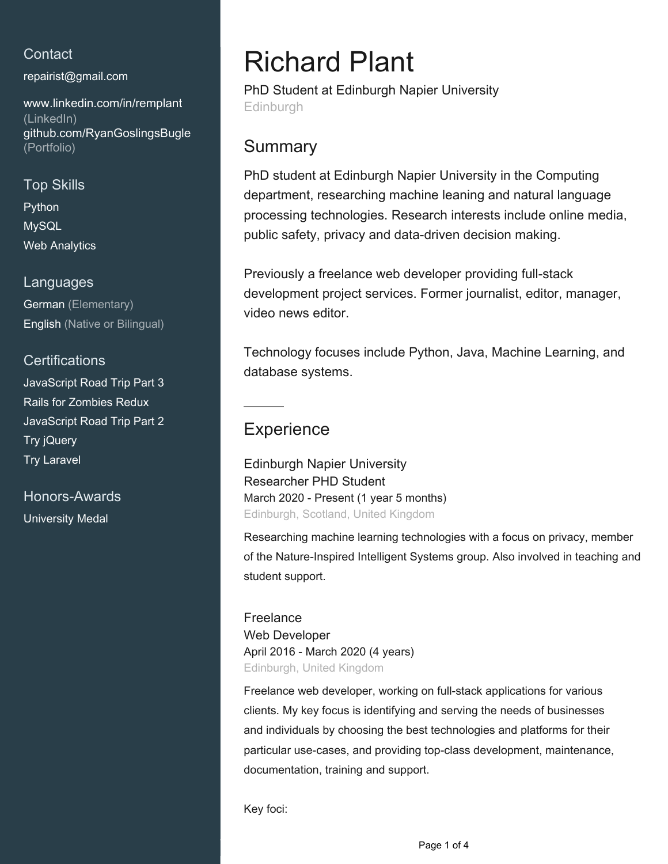## **Contact**

[repairist@gmail.com](mailto:repairist@gmail.com)

[www.linkedin.com/in/remplant](https://www.linkedin.com/in/remplant?jobid=1234&lipi=urn%3Ali%3Apage%3Ad_jobs_easyapply_pdfgenresume%3BFa%2B9F%2F0LS9G3Xf3G2UPVhA%3D%3D&licu=urn%3Ali%3Acontrol%3Ad_jobs_easyapply_pdfgenresume-v02_profile) [\(LinkedIn\)](https://www.linkedin.com/in/remplant?jobid=1234&lipi=urn%3Ali%3Apage%3Ad_jobs_easyapply_pdfgenresume%3BFa%2B9F%2F0LS9G3Xf3G2UPVhA%3D%3D&licu=urn%3Ali%3Acontrol%3Ad_jobs_easyapply_pdfgenresume-v02_profile) [github.com/RyanGoslingsBugle](https://github.com/RyanGoslingsBugle) [\(Portfolio\)](https://github.com/RyanGoslingsBugle)

## Top Skills

Python MySQL Web Analytics

#### Languages

German (Elementary) English (Native or Bilingual)

### **Certifications**

JavaScript Road Trip Part 3 Rails for Zombies Redux JavaScript Road Trip Part 2 Try jQuery Try Laravel

Honors-Awards University Medal

# Richard Plant

PhD Student at Edinburgh Napier University Edinburgh

# **Summary**

PhD student at Edinburgh Napier University in the Computing department, researching machine leaning and natural language processing technologies. Research interests include online media, public safety, privacy and data-driven decision making.

Previously a freelance web developer providing full-stack development project services. Former journalist, editor, manager, video news editor.

Technology focuses include Python, Java, Machine Learning, and database systems.

# **Experience**

Edinburgh Napier University Researcher PHD Student March 2020 - Present (1 year 5 months) Edinburgh, Scotland, United Kingdom

Researching machine learning technologies with a focus on privacy, member of the Nature-Inspired Intelligent Systems group. Also involved in teaching and student support.

**Freelance** Web Developer April 2016 - March 2020 (4 years) Edinburgh, United Kingdom

Freelance web developer, working on full-stack applications for various clients. My key focus is identifying and serving the needs of businesses and individuals by choosing the best technologies and platforms for their particular use-cases, and providing top-class development, maintenance, documentation, training and support.

Key foci: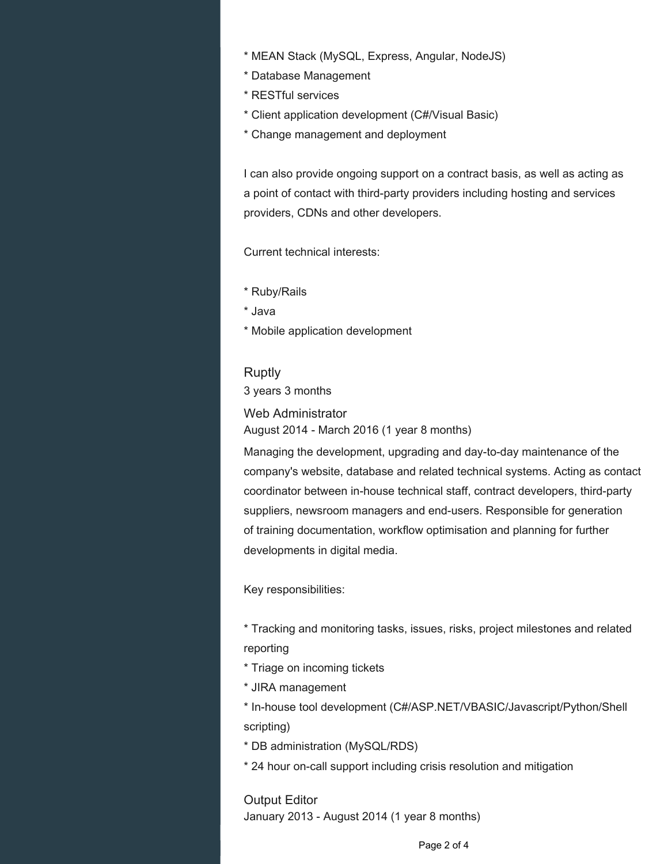- \* MEAN Stack (MySQL, Express, Angular, NodeJS)
- \* Database Management
- \* RESTful services
- \* Client application development (C#/Visual Basic)
- \* Change management and deployment

I can also provide ongoing support on a contract basis, as well as acting as a point of contact with third-party providers including hosting and services providers, CDNs and other developers.

Current technical interests:

- \* Ruby/Rails
- \* Java
- \* Mobile application development

**Ruptly** 

3 years 3 months

Web Administrator August 2014 - March 2016 (1 year 8 months)

Managing the development, upgrading and day-to-day maintenance of the company's website, database and related technical systems. Acting as contact coordinator between in-house technical staff, contract developers, third-party suppliers, newsroom managers and end-users. Responsible for generation of training documentation, workflow optimisation and planning for further developments in digital media.

Key responsibilities:

\* Tracking and monitoring tasks, issues, risks, project milestones and related reporting

- \* Triage on incoming tickets
- \* JIRA management

\* In-house tool development (C#/ASP.NET/VBASIC/Javascript/Python/Shell scripting)

- \* DB administration (MySQL/RDS)
- \* 24 hour on-call support including crisis resolution and mitigation

Output Editor January 2013 - August 2014 (1 year 8 months)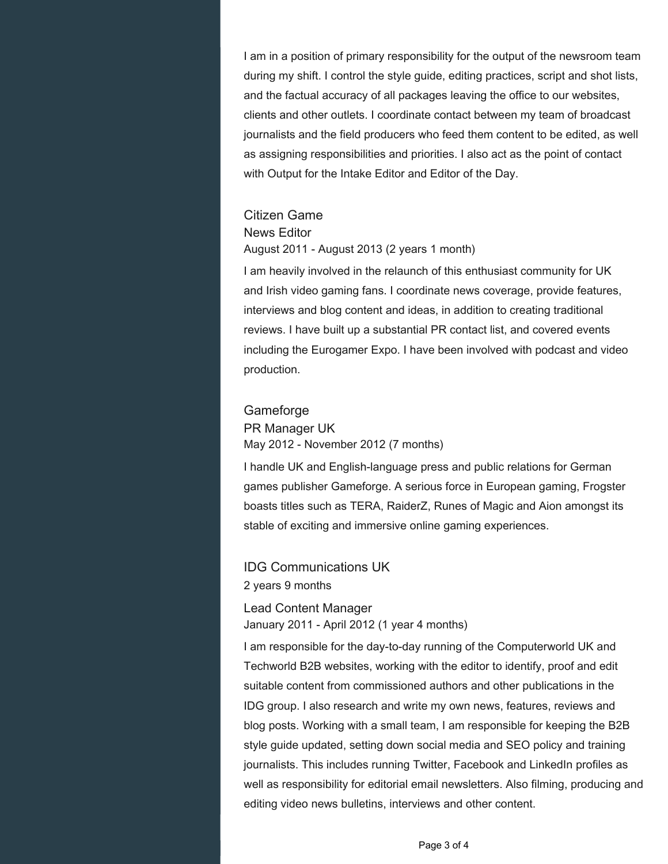I am in a position of primary responsibility for the output of the newsroom team during my shift. I control the style guide, editing practices, script and shot lists, and the factual accuracy of all packages leaving the office to our websites, clients and other outlets. I coordinate contact between my team of broadcast journalists and the field producers who feed them content to be edited, as well as assigning responsibilities and priorities. I also act as the point of contact with Output for the Intake Editor and Editor of the Day.

#### Citizen Game

#### News Editor

August 2011 - August 2013 (2 years 1 month)

I am heavily involved in the relaunch of this enthusiast community for UK and Irish video gaming fans. I coordinate news coverage, provide features, interviews and blog content and ideas, in addition to creating traditional reviews. I have built up a substantial PR contact list, and covered events including the Eurogamer Expo. I have been involved with podcast and video production.

#### **Gameforge**

#### PR Manager UK May 2012 - November 2012 (7 months)

I handle UK and English-language press and public relations for German games publisher Gameforge. A serious force in European gaming, Frogster boasts titles such as TERA, RaiderZ, Runes of Magic and Aion amongst its stable of exciting and immersive online gaming experiences.

## IDG Communications UK 2 years 9 months

Lead Content Manager January 2011 - April 2012 (1 year 4 months)

I am responsible for the day-to-day running of the Computerworld UK and Techworld B2B websites, working with the editor to identify, proof and edit suitable content from commissioned authors and other publications in the IDG group. I also research and write my own news, features, reviews and blog posts. Working with a small team, I am responsible for keeping the B2B style guide updated, setting down social media and SEO policy and training journalists. This includes running Twitter, Facebook and LinkedIn profiles as well as responsibility for editorial email newsletters. Also filming, producing and editing video news bulletins, interviews and other content.